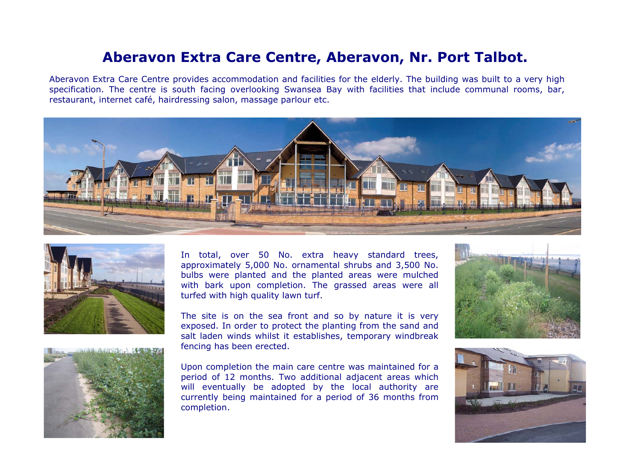## **Aberavon Extra Care Centre, Aberavon, Nr. Port Talbot.**

Aberavon Extra Care Centre provides accommodation and facilities for the elderly. The building was built to a very high specification. The centre is south facing overlooking Swansea Bay with facilities that include communal rooms, bar, restaurant, internet café, hairdressing salon, massage parlour etc.





In total, over 50 No. extra heavy standard trees, approximately 5,000 No. ornamental shrubs and 3,500 No. bulbs were planted and the planted areas were mulched with bark upon completion. The grassed areas were all turfed with high quality lawn turf.

The site is on the sea front and so by nature it is very exposed. In order to protect the planting from the sand and salt laden winds whilst it establishes, temporary windbreak fencing has been erected.



Upon completion the main care centre was maintained for a period of 12 months. Two additional adjacent areas which will eventually be adopted by the local authority are currently being maintained for a period of 36 months from completion.